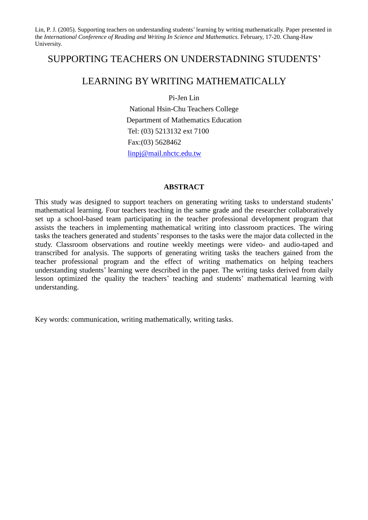# SUPPORTING TEACHERS ON UNDERSTADNING STUDENTS'

# LEARNING BY WRITING MATHEMATICALLY

Pi-Jen Lin

National Hsin-Chu Teachers College Department of Mathematics Education Tel: (03) 5213132 ext 7100 Fax:(03) 5628462 linpj@mail.nhctc.edu.tw

## **ABSTRACT**

This study was designed to support teachers on generating writing tasks to understand students' mathematical learning. Four teachers teaching in the same grade and the researcher collaboratively set up a school-based team participating in the teacher professional development program that assists the teachers in implementing mathematical writing into classroom practices. The wiring tasks the teachers generated and students'responses to the tasks were the major data collected in the study. Classroom observations and routine weekly meetings were video- and audio-taped and transcribed for analysis. The supports of generating writing tasks the teachers gained from the teacher professional program and the effect of writing mathematics on helping teachers understanding students'learning were described in the paper. The writing tasks derived from daily lesson optimized the quality the teachers' teaching and students' mathematical learning with understanding.

Key words: communication, writing mathematically, writing tasks.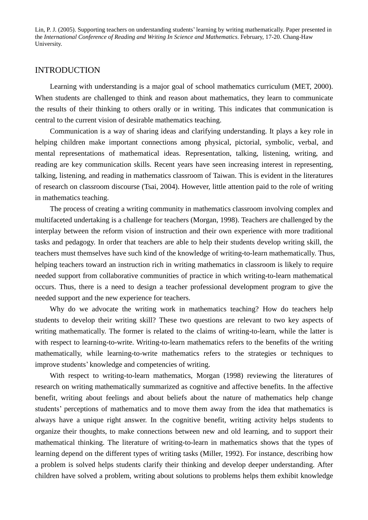## INTRODUCTION

Learning with understanding is a major goal of school mathematics curriculum (MET, 2000). When students are challenged to think and reason about mathematics, they learn to communicate the results of their thinking to others orally or in writing. This indicates that communication is central to the current vision of desirable mathematics teaching.

Communication is a way of sharing ideas and clarifying understanding. It plays a key role in helping children make important connections among physical, pictorial, symbolic, verbal, and mental representations of mathematical ideas. Representation, talking, listening, writing, and reading are key communication skills. Recent years have seen increasing interest in representing, talking, listening, and reading in mathematics classroom of Taiwan. This is evident in the literatures of research on classroom discourse (Tsai, 2004). However, little attention paid to the role of writing in mathematics teaching.

The process of creating a writing community in mathematics classroom involving complex and multifaceted undertaking is a challenge for teachers (Morgan, 1998). Teachers are challenged by the interplay between the reform vision of instruction and their own experience with more traditional tasks and pedagogy. In order that teachers are able to help their students develop writing skill, the teachers must themselves have such kind of the knowledge of writing-to-learn mathematically. Thus, helping teachers toward an instruction rich in writing mathematics in classroom is likely to require needed support from collaborative communities of practice in which writing-to-learn mathematical occurs. Thus, there is a need to design a teacher professional development program to give the needed support and the new experience for teachers.

Why do we advocate the writing work in mathematics teaching? How do teachers help students to develop their writing skill? These two questions are relevant to two key aspects of writing mathematically. The former is related to the claims of writing-to-learn, while the latter is with respect to learning-to-write. Writing-to-learn mathematics refers to the benefits of the writing mathematically, while learning-to-write mathematics refers to the strategies or techniques to improve students'knowledge and competencies of writing.

With respect to writing-to-learn mathematics, Morgan (1998) reviewing the literatures of research on writing mathematically summarized as cognitive and affective benefits. In the affective benefit, writing about feelings and about beliefs about the nature of mathematics help change students'perceptions of mathematics and to move them away from the idea that mathematics is always have a unique right answer. In the cognitive benefit, writing activity helps students to organize their thoughts, to make connections between new and old learning, and to support their mathematical thinking. The literature of writing-to-learn in mathematics shows that the types of learning depend on the different types of writing tasks (Miller, 1992). For instance, describing how a problem is solved helps students clarify their thinking and develop deeper understanding. After children have solved a problem, writing about solutions to problems helps them exhibit knowledge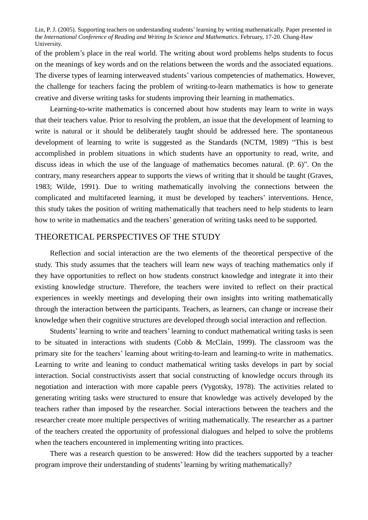of the problem's place in the real world. The writing about word problems helps students to focus on the meanings of key words and on the relations between the words and the associated equations. The diverse types of learning interweaved students'various competencies of mathematics. However, the challenge for teachers facing the problem of writing-to-learn mathematics is how to generate creative and diverse writing tasks for students improving their learning in mathematics.

Learning-to-write mathematics is concerned about how students may learn to write in ways that their teachers value. Prior to resolving the problem, an issue that the development of learning to write is natural or it should be deliberately taught should be addressed here. The spontaneous development of learning to write is suggested as the Standards (NCTM, 1989) "This is best accomplished in problem situations in which students have an opportunity to read, write, and discuss ideas in which the use of the language of mathematics becomes natural. (P. 6)". On the contrary, many researchers appear to supports the views of writing that it should be taught (Graves, 1983; Wilde, 1991). Due to writing mathematically involving the connections between the complicated and multifaceted learning, it must be developed by teachers'interventions. Hence, this study takes the position of writing mathematically that teachers need to help students to learn how to write in mathematics and the teachers' generation of writing tasks need to be supported.

## THEORETICAL PERSPECTIVES OF THE STUDY

Reflection and social interaction are the two elements of the theoretical perspective of the study. This study assumes that the teachers will learn new ways of teaching mathematics only if they have opportunities to reflect on how students construct knowledge and integrate it into their existing knowledge structure. Therefore, the teachers were invited to reflect on their practical experiences in weekly meetings and developing their own insights into writing mathematically through the interaction between the participants. Teachers, as learners, can change or increase their knowledge when their cognitive structures are developed through social interaction and reflection.

Students' learning to write and teachers' learning to conduct mathematical writing tasks is seen to be situated in interactions with students (Cobb & McClain, 1999). The classroom was the primary site for the teachers' learning about writing-to-learn and learning-to write in mathematics. Learning to write and leaning to conduct mathematical writing tasks develops in part by social interaction. Social constructivists assert that social constructing of knowledge occurs through its negotiation and interaction with more capable peers (Vygotsky, 1978). The activities related to generating writing tasks were structured to ensure that knowledge was actively developed by the teachers rather than imposed by the researcher. Social interactions between the teachers and the researcher create more multiple perspectives of writing mathematically. The researcher as a partner of the teachers created the opportunity of professional dialogues and helped to solve the problems when the teachers encountered in implementing writing into practices.

There was a research question to be answered: How did the teachers supported by a teacher program improve their understanding of students'learning by writing mathematically?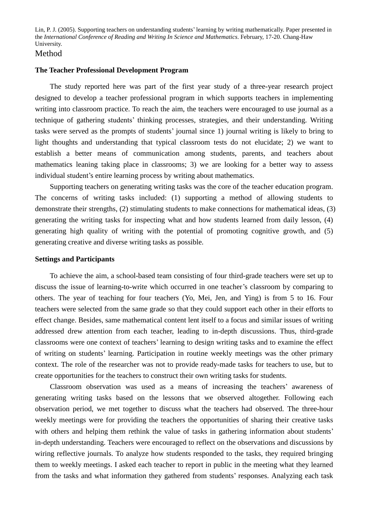## Method

#### **The Teacher Professional Development Program**

The study reported here was part of the first year study of a three-year research project designed to develop a teacher professional program in which supports teachers in implementing writing into classroom practice. To reach the aim, the teachers were encouraged to use journal as a technique of gathering students' thinking processes, strategies, and their understanding. Writing tasks were served as the prompts of students'journal since 1) journal writing is likely to bring to light thoughts and understanding that typical classroom tests do not elucidate; 2) we want to establish a better means of communication among students, parents, and teachers about mathematics leaning taking place in classrooms; 3) we are looking for a better way to assess individual student's entire learning process by writing about mathematics.

Supporting teachers on generating writing tasks was the core of the teacher education program. The concerns of writing tasks included: (1) supporting a method of allowing students to demonstrate their strengths, (2) stimulating students to make connections for mathematical ideas, (3) generating the writing tasks for inspecting what and how students learned from daily lesson, (4) generating high quality of writing with the potential of promoting cognitive growth, and (5) generating creative and diverse writing tasks as possible.

#### **Settings and Participants**

To achieve the aim, a school-based team consisting of four third-grade teachers were set up to discuss the issue of learning-to-write which occurred in one teacher's classroom by comparing to others. The year of teaching for four teachers (Yo, Mei, Jen, and Ying) is from 5 to 16. Four teachers were selected from the same grade so that they could support each other in their efforts to effect change. Besides, same mathematical content lent itself to a focus and similar issues of writing addressed drew attention from each teacher, leading to in-depth discussions. Thus, third-grade classrooms were one context of teachers'learning to design writing tasks and to examine the effect of writing on students'learning. Participation in routine weekly meetings was the other primary context. The role of the researcher was not to provide ready-made tasks for teachers to use, but to create opportunities for the teachers to construct their own writing tasks for students.

Classroom observation was used as a means of increasing the teachers'awareness of generating writing tasks based on the lessons that we observed altogether. Following each observation period, we met together to discuss what the teachers had observed. The three-hour weekly meetings were for providing the teachers the opportunities of sharing their creative tasks with others and helping them rethink the value of tasks in gathering information about students' in-depth understanding. Teachers were encouraged to reflect on the observations and discussions by wiring reflective journals. To analyze how students responded to the tasks, they required bringing them to weekly meetings. I asked each teacher to report in public in the meeting what they learned from the tasks and what information they gathered from students'responses. Analyzing each task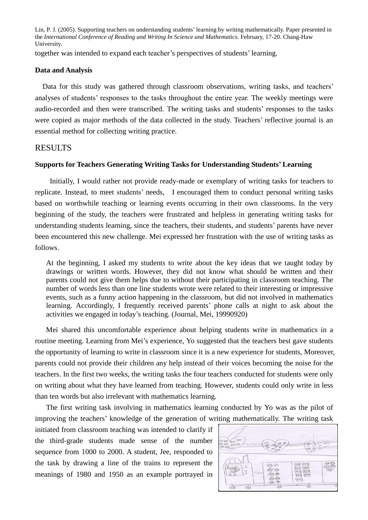together was intended to expand each teacher's perspectives of students'learning.

#### **Data and Analysis**

Data for this study was gathered through classroom observations, writing tasks, and teachers' analyses of students' responses to the tasks throughout the entire year. The weekly meetings were audio-recorded and then were transcribed. The writing tasks and students'responses to the tasks were copied as major methods of the data collected in the study. Teachers' reflective journal is an essential method for collecting writing practice.

## RESULTS

#### **Supports for Teachers Generating Writing Tasks for Understanding Students'Learning**

Initially, I would rather not provide ready-made or exemplary of writing tasks for teachers to replicate. Instead, to meet students'needs, I encouraged them to conduct personal writing tasks based on worthwhile teaching or learning events occurring in their own classrooms. In the very beginning of the study, the teachers were frustrated and helpless in generating writing tasks for understanding students learning, since the teachers, their students, and students'parents have never been encountered this new challenge. Mei expressed her frustration with the use of writing tasks as follows.

At the beginning, I asked my students to write about the key ideas that we taught today by drawings or written words. However, they did not know what should be written and their parents could not give them helps due to without their participating in classroom teaching. The number of words less than one line students wrote were related to their interesting or impressive events, such as a funny action happening in the classroom, but did not involved in mathematics learning. Accordingly, I frequently received parents' phone calls at night to ask about the activities we engaged in today's teaching. (Journal, Mei, 19990920)

Mei shared this uncomfortable experience about helping students write in mathematics in a routine meeting. Learning from Mei's experience, Yo suggested that the teachers best gave students the opportunity of learning to write in classroom since it is a new experience for students, Moreover, parents could not provide their children any help instead of their voices becoming the noise for the teachers. In the first two weeks, the writing tasks the four teachers conducted for students were only on writing about what they have learned from teaching. However, students could only write in less than ten words but also irrelevant with mathematics learning.

The first writing task involving in mathematics learning conducted by Yo was as the pilot of improving the teachers'knowledge of the generation of writing mathematically. The writing task

initiated from classroom teaching was intended to clarify if the third-grade students made sense of the number sequence from 1000 to 2000. A student, Jee, responded to the task by drawing a line of the trains to represent the meanings of 1980 and 1950 as an example portrayed in

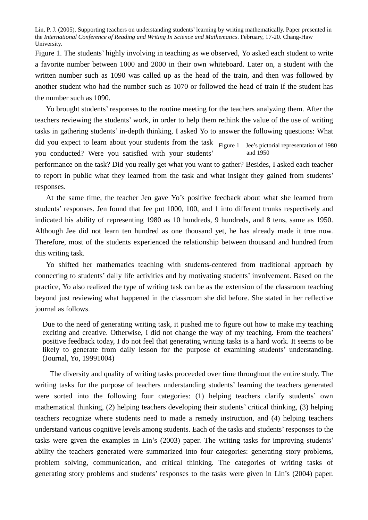Figure 1. The students' highly involving in teaching as we observed, Yo asked each student to write a favorite number between 1000 and 2000 in their own whiteboard. Later on, a student with the written number such as 1090 was called up as the head of the train, and then was followed by another student who had the number such as 1070 or followed the head of train if the student has the number such as 1090.

did you expect to learn about your students from the task Figure 1 Jee's pictorial representation of 1980 and 1950 Yo brought students'responses to the routine meeting for the teachers analyzing them. After the teachers reviewing the students'work, in order to help them rethink the value of the use of writing tasks in gathering students'in-depth thinking, I asked Yo to answer the following questions: What you conducted? Were you satisfied with your students' performance on the task? Did you really get what you want to gather? Besides, I asked each teacher to report in public what they learned from the task and what insight they gained from students' responses.

At the same time, the teacher Jen gave Yo's positive feedback about what she learned from students' responses. Jen found that Jee put 1000, 100, and 1 into different trunks respectively and indicated his ability of representing 1980 as 10 hundreds, 9 hundreds, and 8 tens, same as 1950. Although Jee did not learn ten hundred as one thousand yet, he has already made it true now. Therefore, most of the students experienced the relationship between thousand and hundred from this writing task.

Yo shifted her mathematics teaching with students-centered from traditional approach by connecting to students'daily life activities and by motivating students'involvement. Based on the practice, Yo also realized the type of writing task can be as the extension of the classroom teaching beyond just reviewing what happened in the classroom she did before. She stated in her reflective journal as follows.

Due to the need of generating writing task, it pushed me to figure out how to make my teaching exciting and creative. Otherwise, I did not change the way of my teaching. From the teachers' positive feedback today, I do not feel that generating writing tasks is a hard work. It seems to be likely to generate from daily lesson for the purpose of examining students' understanding. (Journal, Yo, 19991004)

The diversity and quality of writing tasks proceeded over time throughout the entire study. The writing tasks for the purpose of teachers understanding students'learning the teachers generated were sorted into the following four categories: (1) helping teachers clarify students'own mathematical thinking, (2) helping teachers developing their students'critical thinking, (3) helping teachers recognize where students need to made a remedy instruction, and (4) helping teachers understand various cognitive levels among students. Each of the tasks and students'responses to the tasks were given the examples in Lin's (2003) paper. The writing tasks for improving students' ability the teachers generated were summarized into four categories: generating story problems, problem solving, communication, and critical thinking. The categories of writing tasks of generating story problems and students' responses to the tasks were given in Lin's (2004) paper.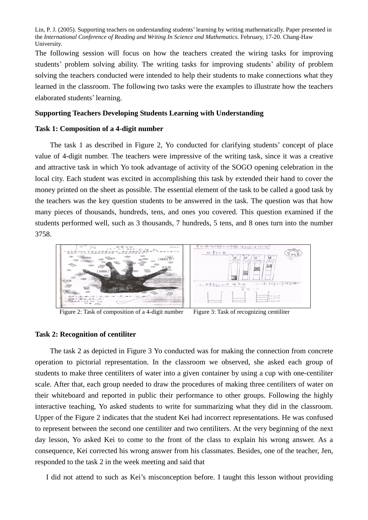The following session will focus on how the teachers created the wiring tasks for improving students'problem solving ability. The writing tasks for improving students'ability of problem solving the teachers conducted were intended to help their students to make connections what they learned in the classroom. The following two tasks were the examples to illustrate how the teachers elaborated students'learning.

## **Supporting Teachers Developing Students Learning with Understanding**

#### **Task 1: Composition of a 4-digit number**

The task 1 as described in Figure 2, Yo conducted for clarifying students'concept of place value of 4-digit number. The teachers were impressive of the writing task, since it was a creative and attractive task in which Yo took advantage of activity of the SOGO opening celebration in the local city. Each student was excited in accomplishing this task by extended their hand to cover the money printed on the sheet as possible. The essential element of the task to be called a good task by the teachers was the key question students to be answered in the task. The question was that how many pieces of thousands, hundreds, tens, and ones you covered. This question examined if the students performed well, such as 3 thousands, 7 hundreds, 5 tens, and 8 ones turn into the number 3758.



Figure 2: Task of composition of a 4-digit number Figure 3: Task of recognizing centiliter

#### **Task 2: Recognition of centiliter**

The task 2 as depicted in Figure 3 Yo conducted was for making the connection from concrete operation to pictorial representation. In the classroom we observed, she asked each group of students to make three centiliters of water into a given container by using a cup with one-centiliter scale. After that, each group needed to draw the procedures of making three centiliters of water on their whiteboard and reported in public their performance to other groups. Following the highly interactive teaching, Yo asked students to write for summarizing what they did in the classroom. Upper of the Figure 2 indicates that the student Kei had incorrect representations. He was confused to represent between the second one centiliter and two centiliters. At the very beginning of the next day lesson, Yo asked Kei to come to the front of the class to explain his wrong answer. As a consequence, Kei corrected his wrong answer from his classmates. Besides, one of the teacher, Jen, responded to the task 2 in the week meeting and said that

I did not attend to such as Kei's misconception before. I taught this lesson without providing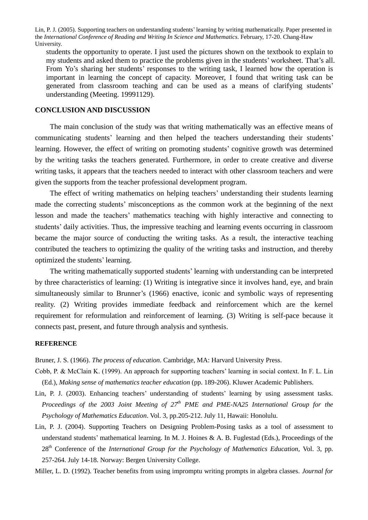students the opportunity to operate. I just used the pictures shown on the textbook to explain to my students and asked them to practice the problems given in the students'worksheet. That's all. From Yo's sharing her students' responses to the writing task, I learned how the operation is important in learning the concept of capacity. Moreover, I found that writing task can be generated from classroom teaching and can be used as a means of clarifying students' understanding (Meeting. 19991129).

## **CONCLUSION AND DISCUSSION**

The main conclusion of the study was that writing mathematically was an effective means of communicating students'learning and then helped the teachers understanding their students' learning. However, the effect of writing on promoting students'cognitive growth was determined by the writing tasks the teachers generated. Furthermore, in order to create creative and diverse writing tasks, it appears that the teachers needed to interact with other classroom teachers and were given the supports from the teacher professional development program.

The effect of writing mathematics on helping teachers'understanding their students learning made the correcting students'misconceptions as the common work at the beginning of the next lesson and made the teachers' mathematics teaching with highly interactive and connecting to students' daily activities. Thus, the impressive teaching and learning events occurring in classroom became the major source of conducting the writing tasks. As a result, the interactive teaching contributed the teachers to optimizing the quality of the writing tasks and instruction, and thereby optimized the students'learning.

The writing mathematically supported students'learning with understanding can be interpreted by three characteristics of learning: (1) Writing is integrative since it involves hand, eye, and brain simultaneously similar to Brunner's (1966) enactive, iconic and symbolic ways of representing reality. (2) Writing provides immediate feedback and reinforcement which are the kernel requirement for reformulation and reinforcement of learning. (3) Writing is self-pace because it connects past, present, and future through analysis and synthesis.

#### **REFERENCE**

Bruner, J. S. (1966). *The process of education*. Cambridge, MA: Harvard University Press.

- Cobb, P. & McClain K. (1999). An approach for supporting teachers' learning in social context. In F. L. Lin (Ed.), *Making sense of mathematics teacher education* (pp. 189-206). Kluwer Academic Publishers.
- Lin, P. J. (2003). Enhancing teachers' understanding of students' learning by using assessment tasks. *Proceedings of the 2003 Joint Meeting of 27 th PME and PME-NA25 International Group for the Psychology of Mathematics Education*. Vol. 3, pp.205-212. July 11, Hawaii: Honolulu.
- Lin, P. J. (2004). Supporting Teachers on Designing Problem-Posing tasks as a tool of assessment to understand students'mathematical learning. In M. J. Hoines & A. B. Fuglestad (Eds.), Proceedings of the 28<sup>th</sup> Conference of the *International Group for the Psychology of Mathematics Education*, Vol. 3, pp. 257-264. July 14-18. Norway: Bergen University College.

Miller, L. D. (1992). Teacher benefits from using impromptu writing prompts in algebra classes. *Journal for*